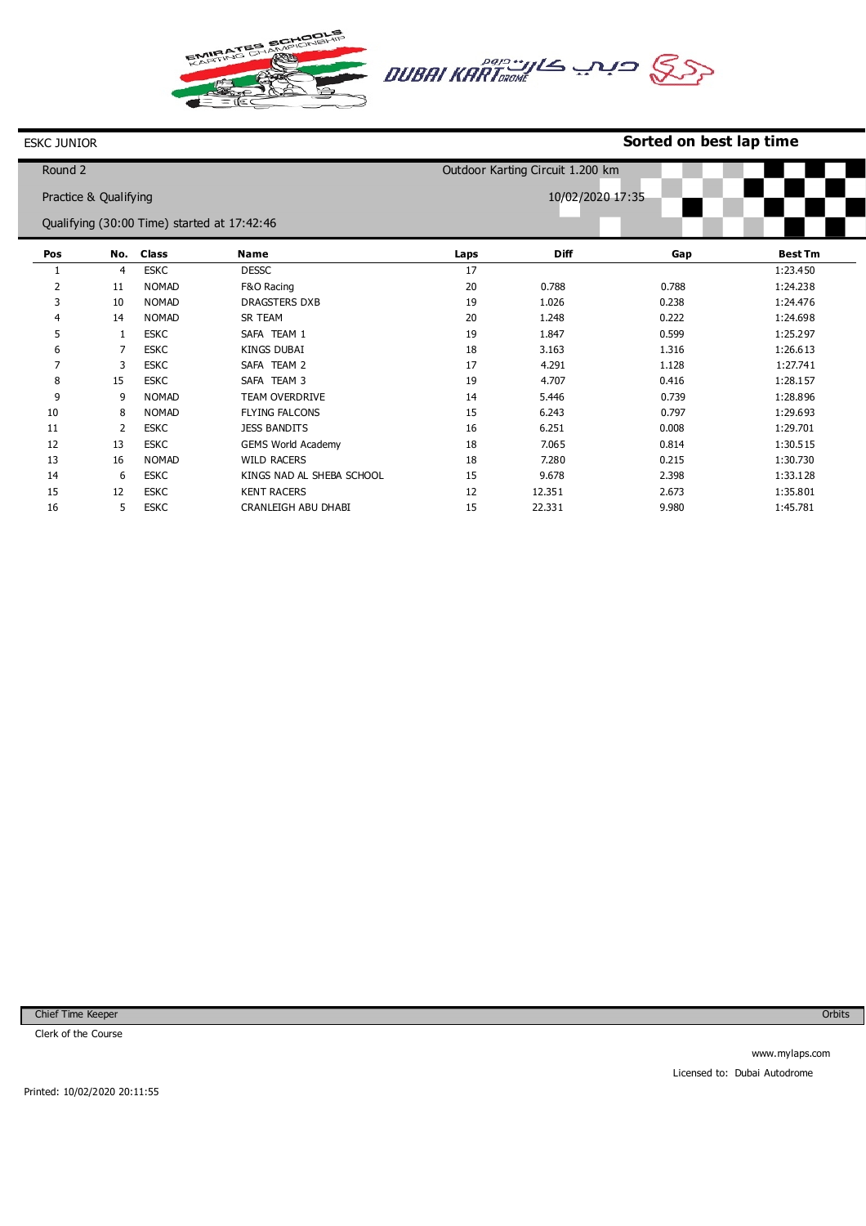



## **Sorted on best lap time**

| Round 2 |                       |                                             |                           |      | Outdoor Karting Circuit 1.200 km |       |                |
|---------|-----------------------|---------------------------------------------|---------------------------|------|----------------------------------|-------|----------------|
|         | Practice & Qualifying |                                             |                           |      | 10/02/2020 17:35                 |       |                |
|         |                       | Qualifying (30:00 Time) started at 17:42:46 |                           |      |                                  |       |                |
| Pos     | No.                   | <b>Class</b>                                | <b>Name</b>               | Laps | Diff                             | Gap   | <b>Best Tm</b> |
|         | $\overline{4}$        | <b>ESKC</b>                                 | <b>DESSC</b>              | 17   |                                  |       | 1:23.450       |
| 2       | 11                    | <b>NOMAD</b>                                | F&O Racing                | 20   | 0.788                            | 0.788 | 1:24.238       |
| 3       | 10                    | <b>NOMAD</b>                                | <b>DRAGSTERS DXB</b>      | 19   | 1.026                            | 0.238 | 1:24.476       |
| 4       | 14                    | <b>NOMAD</b>                                | SR TEAM                   | 20   | 1.248                            | 0.222 | 1:24.698       |
| 5       | 1                     | <b>ESKC</b>                                 | SAFA TEAM 1               | 19   | 1.847                            | 0.599 | 1:25.297       |
| 6       | 7                     | <b>ESKC</b>                                 | <b>KINGS DUBAI</b>        | 18   | 3.163                            | 1.316 | 1:26.613       |
| 7       | 3                     | <b>ESKC</b>                                 | SAFA TEAM 2               | 17   | 4.291                            | 1.128 | 1:27.741       |
| 8       | 15                    | <b>ESKC</b>                                 | SAFA TEAM 3               | 19   | 4.707                            | 0.416 | 1:28.157       |
| 9       | 9                     | <b>NOMAD</b>                                | <b>TEAM OVERDRIVE</b>     | 14   | 5.446                            | 0.739 | 1:28.896       |
| 10      | 8                     | <b>NOMAD</b>                                | <b>FLYING FALCONS</b>     | 15   | 6.243                            | 0.797 | 1:29.693       |
| 11      | 2                     | <b>ESKC</b>                                 | <b>JESS BANDITS</b>       | 16   | 6.251                            | 0.008 | 1:29.701       |
| 12      | 13                    | <b>ESKC</b>                                 | <b>GEMS World Academy</b> | 18   | 7.065                            | 0.814 | 1:30.515       |
| 13      | 16                    | <b>NOMAD</b>                                | <b>WILD RACERS</b>        | 18   | 7.280                            | 0.215 | 1:30.730       |
| 14      | 6                     | <b>ESKC</b>                                 | KINGS NAD AL SHEBA SCHOOL | 15   | 9.678                            | 2.398 | 1:33.128       |
| 15      | 12                    | <b>ESKC</b>                                 | <b>KENT RACERS</b>        | 12   | 12.351                           | 2.673 | 1:35.801       |
| 16      | 5                     | <b>ESKC</b>                                 | CRANLEIGH ABU DHABI       | 15   | 22.331                           | 9.980 | 1:45.781       |

Chief Time Keeper

ESKC JUNIOR

Clerk of the Course

Orbits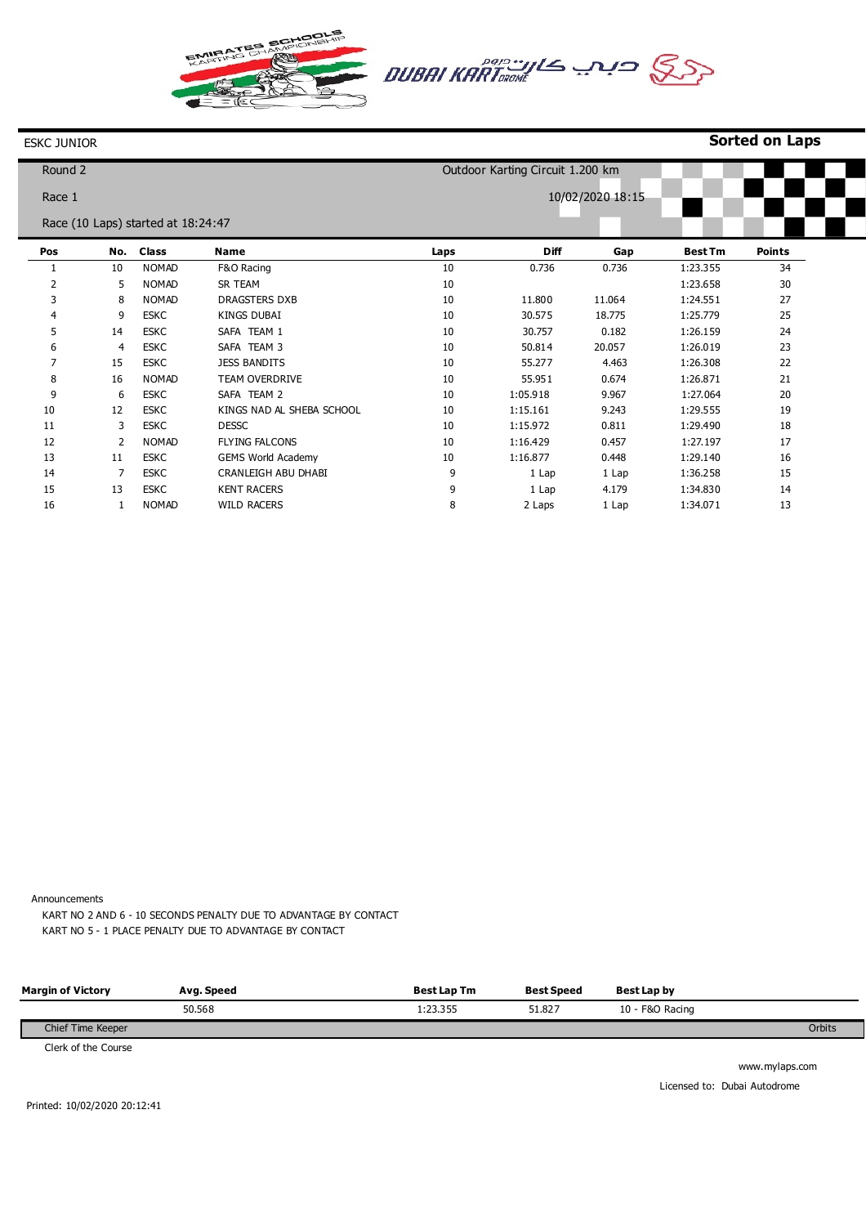

## ESKC JUNIOR

| <b>Sorted on Laps</b> |  |  |
|-----------------------|--|--|
|-----------------------|--|--|

| Round 2 |     |                                    |                           |      | Outdoor Karting Circuit 1.200 km |                  |                |               |
|---------|-----|------------------------------------|---------------------------|------|----------------------------------|------------------|----------------|---------------|
| Race 1  |     |                                    |                           |      |                                  | 10/02/2020 18:15 |                |               |
|         |     | Race (10 Laps) started at 18:24:47 |                           |      |                                  |                  |                |               |
|         |     |                                    |                           |      |                                  |                  |                |               |
| Pos     | No. | <b>Class</b>                       | <b>Name</b>               | Laps | <b>Diff</b>                      | Gap              | <b>Best Tm</b> | <b>Points</b> |
| 1       | 10  | <b>NOMAD</b>                       | F&O Racing                | 10   | 0.736                            | 0.736            | 1:23.355       | 34            |
| 2       | 5   | <b>NOMAD</b>                       | <b>SR TEAM</b>            | 10   |                                  |                  | 1:23.658       | 30            |
| 3       | 8   | <b>NOMAD</b>                       | DRAGSTERS DXB             | 10   | 11.800                           | 11.064           | 1:24.551       | 27            |
| 4       | 9   | <b>ESKC</b>                        | <b>KINGS DUBAI</b>        | 10   | 30.575                           | 18.775           | 1:25.779       | 25            |
| 5       | 14  | <b>ESKC</b>                        | SAFA TEAM 1               | 10   | 30.757                           | 0.182            | 1:26.159       | 24            |
| 6       | 4   | <b>ESKC</b>                        | SAFA TEAM 3               | 10   | 50.814                           | 20.057           | 1:26.019       | 23            |
| 7       | 15  | <b>ESKC</b>                        | <b>JESS BANDITS</b>       | 10   | 55.277                           | 4.463            | 1:26.308       | 22            |
| 8       | 16  | <b>NOMAD</b>                       | <b>TEAM OVERDRIVE</b>     | 10   | 55.951                           | 0.674            | 1:26.871       | 21            |
| 9       | 6   | <b>ESKC</b>                        | SAFA TEAM 2               | 10   | 1:05.918                         | 9.967            | 1:27.064       | 20            |
| 10      | 12  | <b>ESKC</b>                        | KINGS NAD AL SHEBA SCHOOL | 10   | 1:15.161                         | 9.243            | 1:29.555       | 19            |
| 11      | 3   | <b>ESKC</b>                        | <b>DESSC</b>              | 10   | 1:15.972                         | 0.811            | 1:29.490       | 18            |
| 12      | 2   | <b>NOMAD</b>                       | <b>FLYING FALCONS</b>     | 10   | 1:16.429                         | 0.457            | 1:27.197       | 17            |
| 13      | 11  | <b>ESKC</b>                        | <b>GEMS World Academy</b> | 10   | 1:16.877                         | 0.448            | 1:29.140       | 16            |
| 14      | 7   | <b>ESKC</b>                        | CRANLEIGH ABU DHABI       | 9    | 1 Lap                            | 1 Lap            | 1:36.258       | 15            |
| 15      | 13  | <b>ESKC</b>                        | <b>KENT RACERS</b>        | 9    | 1 Lap                            | 4.179            | 1:34.830       | 14            |
| 16      |     | <b>NOMAD</b>                       | <b>WILD RACERS</b>        | 8    | 2 Laps                           | 1 Lap            | 1:34.071       | 13            |

Announcements

KART NO 2 AND 6 - 10 SECONDS PENALTY DUE TO ADVANTAGE BY CONTACT KART NO 5 - 1 PLACE PENALTY DUE TO ADVANTAGE BY CONTACT

| <b>Margin of Victory</b> | Avg. Speed | <b>Best Lap Tm</b> | <b>Best Speed</b> | Best Lap by     |        |
|--------------------------|------------|--------------------|-------------------|-----------------|--------|
|                          | 50.568     | 1:23.355           | 51.827            | 10 - F&O Racing |        |
| Chief Time Keeper        |            |                    |                   |                 | Orbits |

Clerk of the Course

www.mylaps.com Licensed to: Dubai Autodrome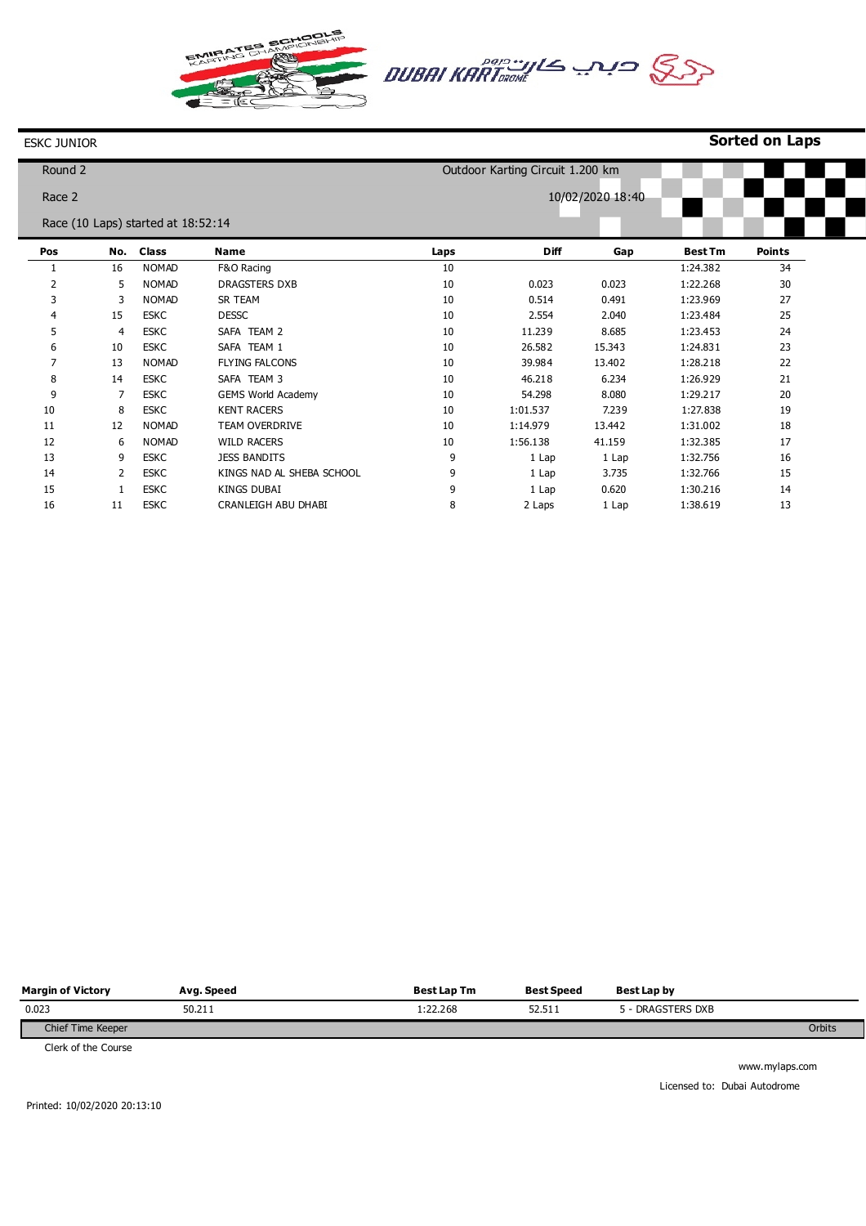ATES Ø



## ESKC JUNIOR

| 10/02/2020 18:40<br>Race 2<br>Race (10 Laps) started at 18:52:14<br><b>Class</b><br><b>Diff</b><br><b>Best Tm</b><br>Pos<br>No.<br><b>Name</b> |               |
|------------------------------------------------------------------------------------------------------------------------------------------------|---------------|
|                                                                                                                                                |               |
|                                                                                                                                                |               |
| Gap<br>Laps                                                                                                                                    | <b>Points</b> |
| <b>NOMAD</b><br>10<br>16<br>F&O Racing<br>1:24.382                                                                                             | 34            |
| 2<br><b>NOMAD</b><br>10<br>0.023<br>1:22.268<br>5<br><b>DRAGSTERS DXB</b><br>0.023                                                             | 30            |
| 3<br><b>NOMAD</b><br>SR TEAM<br>10<br>0.491<br>1:23.969<br>3<br>0.514                                                                          | 27            |
| 10<br>15<br><b>ESKC</b><br><b>DESSC</b><br>2.554<br>2.040<br>1:23.484<br>4                                                                     | 25            |
| SAFA TEAM 2<br>10<br>5<br><b>ESKC</b><br>8.685<br>1:23.453<br>11.239<br>4                                                                      | 24            |
| SAFA TEAM 1<br>10<br>6<br><b>ESKC</b><br>26.582<br>15.343<br>1:24.831<br>10                                                                    | 23            |
| 10<br>7<br>13<br><b>NOMAD</b><br><b>FLYING FALCONS</b><br>39.984<br>13.402<br>1:28.218                                                         | 22            |
| <b>ESKC</b><br>SAFA TEAM 3<br>8<br>14<br>10<br>46.218<br>6.234<br>1:26.929                                                                     | 21            |
| 9<br><b>GEMS World Academy</b><br>10<br>54.298<br>8.080<br>1:29.217<br>7<br><b>ESKC</b>                                                        | 20            |
| 10<br><b>KENT RACERS</b><br>10<br><b>ESKC</b><br>1:01.537<br>7.239<br>1:27.838<br>8                                                            | 19            |
| 11<br>12<br><b>NOMAD</b><br>TEAM OVERDRIVE<br>10<br>1:14.979<br>13.442<br>1:31.002                                                             | 18            |
| 12<br><b>WILD RACERS</b><br>10<br>1:56.138<br><b>NOMAD</b><br>41.159<br>1:32.385<br>6                                                          | 17            |
| 13<br>9<br>9<br><b>ESKC</b><br><b>JESS BANDITS</b><br>1 Lap<br>1:32.756<br>1 Lap                                                               | 16            |
| 14<br>KINGS NAD AL SHEBA SCHOOL<br>9<br>3.735<br>1:32.766<br>2<br><b>ESKC</b><br>1 Lap                                                         | 15            |
| 15<br>9<br><b>ESKC</b><br><b>KINGS DUBAI</b><br>0.620<br>1:30.216<br>1 Lap                                                                     | 14            |
| 16<br><b>ESKC</b><br>CRANLEIGH ABU DHABI<br>8<br>2 Laps<br>1:38.619<br>11<br>1 Lap                                                             | 13            |

| <b>Margin of Victory</b> | Avg. Speed | <b>Best Lap Tm</b> | <b>Best Speed</b> | Best Lap by   |        |
|--------------------------|------------|--------------------|-------------------|---------------|--------|
| 0.023                    | 50.211     | 1:22.268           | 52.511            | DRAGSTERS DXB |        |
| Chief Time Keeper        |            |                    |                   |               | Orbits |

Clerk of the Course

www.mylaps.com Licensed to: Dubai Autodrome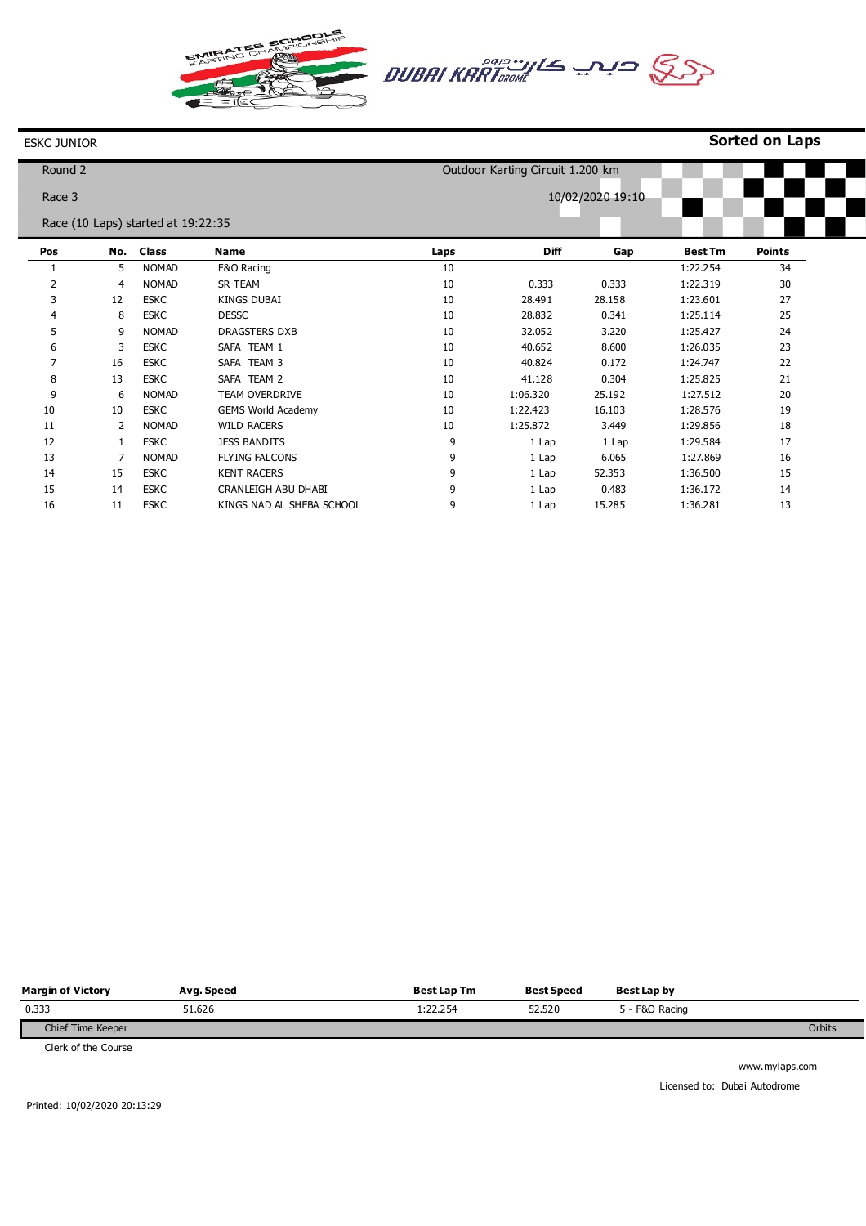AATES .<br>Br



## ESKC JUNIOR

| <b>Sorted on Laps</b> |  |  |
|-----------------------|--|--|
|-----------------------|--|--|

| Round 2 |              |                                    |                           |      | Outdoor Karting Circuit 1.200 km |                  |                |               |
|---------|--------------|------------------------------------|---------------------------|------|----------------------------------|------------------|----------------|---------------|
| Race 3  |              |                                    |                           |      |                                  | 10/02/2020 19:10 |                |               |
|         |              |                                    |                           |      |                                  |                  |                |               |
|         |              | Race (10 Laps) started at 19:22:35 |                           |      |                                  |                  |                |               |
| Pos     | No.          | <b>Class</b>                       | Name                      | Laps | <b>Diff</b>                      | Gap              | <b>Best Tm</b> | <b>Points</b> |
|         | 5            | <b>NOMAD</b>                       | F&O Racing                | 10   |                                  |                  | 1:22.254       | 34            |
| 2       | 4            | <b>NOMAD</b>                       | SR TEAM                   | 10   | 0.333                            | 0.333            | 1:22.319       | 30            |
| 3       | 12           | <b>ESKC</b>                        | <b>KINGS DUBAI</b>        | 10   | 28.491                           | 28.158           | 1:23.601       | 27            |
| 4       | 8            | <b>ESKC</b>                        | <b>DESSC</b>              | 10   | 28.832                           | 0.341            | 1:25.114       | 25            |
| 5       | 9            | <b>NOMAD</b>                       | <b>DRAGSTERS DXB</b>      | 10   | 32.052                           | 3.220            | 1:25.427       | 24            |
| 6       | 3            | <b>ESKC</b>                        | SAFA TEAM 1               | 10   | 40.652                           | 8.600            | 1:26.035       | 23            |
| 7       | 16           | <b>ESKC</b>                        | SAFA TEAM 3               | 10   | 40.824                           | 0.172            | 1:24.747       | 22            |
| 8       | 13           | <b>ESKC</b>                        | SAFA TEAM 2               | 10   | 41.128                           | 0.304            | 1:25.825       | 21            |
| 9       | 6            | <b>NOMAD</b>                       | TEAM OVERDRIVE            | 10   | 1:06.320                         | 25.192           | 1:27.512       | 20            |
| 10      | 10           | <b>ESKC</b>                        | <b>GEMS World Academy</b> | 10   | 1:22.423                         | 16.103           | 1:28.576       | 19            |
| 11      | 2            | <b>NOMAD</b>                       | <b>WILD RACERS</b>        | 10   | 1:25.872                         | 3.449            | 1:29.856       | 18            |
| 12      | $\mathbf{1}$ | <b>ESKC</b>                        | <b>JESS BANDITS</b>       | 9    | 1 Lap                            | 1 Lap            | 1:29.584       | 17            |
| 13      |              | <b>NOMAD</b>                       | <b>FLYING FALCONS</b>     | 9    | 1 Lap                            | 6.065            | 1:27.869       | 16            |
| 14      | 15           | <b>ESKC</b>                        | <b>KENT RACERS</b>        | 9    | 1 Lap                            | 52.353           | 1:36.500       | 15            |
| 15      | 14           | <b>ESKC</b>                        | CRANLEIGH ABU DHABI       | 9    | 1 Lap                            | 0.483            | 1:36.172       | 14            |
| 16      | 11           | <b>ESKC</b>                        | KINGS NAD AL SHEBA SCHOOL | 9    | 1 Lap                            | 15.285           | 1:36.281       | 13            |

| <b>Margin of Victory</b> | Avg. Speed | <b>Best Lap Tm</b> | <b>Best Speed</b> | Best Lap by  |        |
|--------------------------|------------|--------------------|-------------------|--------------|--------|
| 0.333                    | 51.626     | 1:22.254           | 52.520            | - F&O Racing |        |
| Chief Time Keeper        |            |                    |                   |              | Orbits |

Clerk of the Course

www.mylaps.com Licensed to: Dubai Autodrome

Printed: 10/02/2020 20:13:29